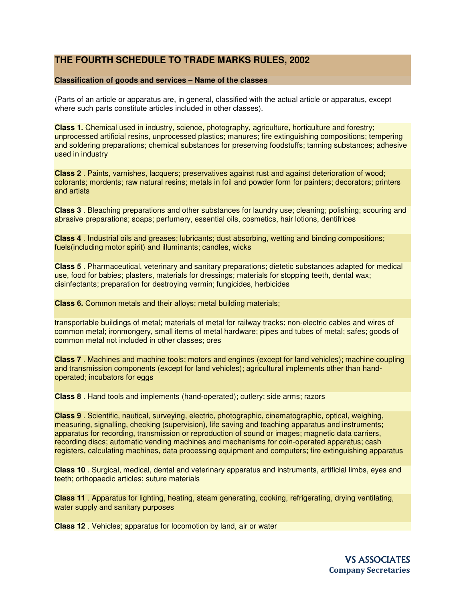## **THE FOURTH SCHEDULE TO TRADE MARKS RULES, 2002**

## **Classification of goods and services – Name of the classes**

(Parts of an article or apparatus are, in general, classified with the actual article or apparatus, except where such parts constitute articles included in other classes).

**Class 1.** Chemical used in industry, science, photography, agriculture, horticulture and forestry; unprocessed artificial resins, unprocessed plastics; manures; fire extinguishing compositions; tempering and soldering preparations; chemical substances for preserving foodstuffs; tanning substances; adhesive used in industry

**Class 2** . Paints, varnishes, lacquers; preservatives against rust and against deterioration of wood; colorants; mordents; raw natural resins; metals in foil and powder form for painters; decorators; printers and artists

**Class 3** . Bleaching preparations and other substances for laundry use; cleaning; polishing; scouring and abrasive preparations; soaps; perfumery, essential oils, cosmetics, hair lotions, dentifrices

**Class 4** . Industrial oils and greases; lubricants; dust absorbing, wetting and binding compositions; fuels(including motor spirit) and illuminants; candles, wicks

**Class 5** . Pharmaceutical, veterinary and sanitary preparations; dietetic substances adapted for medical use, food for babies; plasters, materials for dressings; materials for stopping teeth, dental wax; disinfectants; preparation for destroying vermin; fungicides, herbicides

**Class 6.** Common metals and their alloys; metal building materials;

transportable buildings of metal; materials of metal for railway tracks; non-electric cables and wires of common metal; ironmongery, small items of metal hardware; pipes and tubes of metal; safes; goods of common metal not included in other classes; ores

**Class 7** . Machines and machine tools; motors and engines (except for land vehicles); machine coupling and transmission components (except for land vehicles); agricultural implements other than handoperated; incubators for eggs

**Class 8** . Hand tools and implements (hand-operated); cutlery; side arms; razors

**Class 9** . Scientific, nautical, surveying, electric, photographic, cinematographic, optical, weighing, measuring, signalling, checking (supervision), life saving and teaching apparatus and instruments; apparatus for recording, transmission or reproduction of sound or images; magnetic data carriers, recording discs; automatic vending machines and mechanisms for coin-operated apparatus; cash registers, calculating machines, data processing equipment and computers; fire extinguishing apparatus

**Class 10** . Surgical, medical, dental and veterinary apparatus and instruments, artificial limbs, eyes and teeth; orthopaedic articles; suture materials

**Class 11** . Apparatus for lighting, heating, steam generating, cooking, refrigerating, drying ventilating, water supply and sanitary purposes

**Class 12** . Vehicles; apparatus for locomotion by land, air or water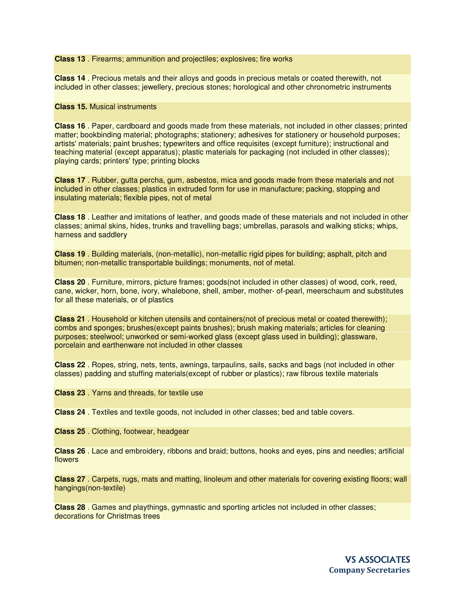**Class 13** . Firearms; ammunition and projectiles; explosives; fire works

**Class 14** . Precious metals and their alloys and goods in precious metals or coated therewith, not included in other classes; jewellery, precious stones; horological and other chronometric instruments

## **Class 15.** Musical instruments

**Class 16** . Paper, cardboard and goods made from these materials, not included in other classes; printed matter; bookbinding material; photographs; stationery; adhesives for stationery or household purposes; artists' materials; paint brushes; typewriters and office requisites (except furniture); instructional and teaching material (except apparatus); plastic materials for packaging (not included in other classes); playing cards; printers' type; printing blocks

**Class 17** . Rubber, gutta percha, gum, asbestos, mica and goods made from these materials and not included in other classes; plastics in extruded form for use in manufacture; packing, stopping and insulating materials; flexible pipes, not of metal

**Class 18** . Leather and imitations of leather, and goods made of these materials and not included in other classes; animal skins, hides, trunks and travelling bags; umbrellas, parasols and walking sticks; whips, harness and saddlery

**Class 19** . Building materials, (non-metallic), non-metallic rigid pipes for building; asphalt, pitch and bitumen; non-metallic transportable buildings; monuments, not of metal.

**Class 20** . Furniture, mirrors, picture frames; goods(not included in other classes) of wood, cork, reed, cane, wicker, horn, bone, ivory, whalebone, shell, amber, mother- of-pearl, meerschaum and substitutes for all these materials, or of plastics

**Class 21** . Household or kitchen utensils and containers(not of precious metal or coated therewith); combs and sponges; brushes(except paints brushes); brush making materials; articles for cleaning purposes; steelwool; unworked or semi-worked glass (except glass used in building); glassware, porcelain and earthenware not included in other classes

**Class 22** . Ropes, string, nets, tents, awnings, tarpaulins, sails, sacks and bags (not included in other classes) padding and stuffing materials(except of rubber or plastics); raw fibrous textile materials

**Class 23** . Yarns and threads, for textile use

**Class 24** . Textiles and textile goods, not included in other classes; bed and table covers.

**Class 25** . Clothing, footwear, headgear

**Class 26** . Lace and embroidery, ribbons and braid; buttons, hooks and eyes, pins and needles; artificial flowers

**Class 27** . Carpets, rugs, mats and matting, linoleum and other materials for covering existing floors; wall hangings(non-textile)

**Class 28** . Games and playthings, gymnastic and sporting articles not included in other classes; decorations for Christmas trees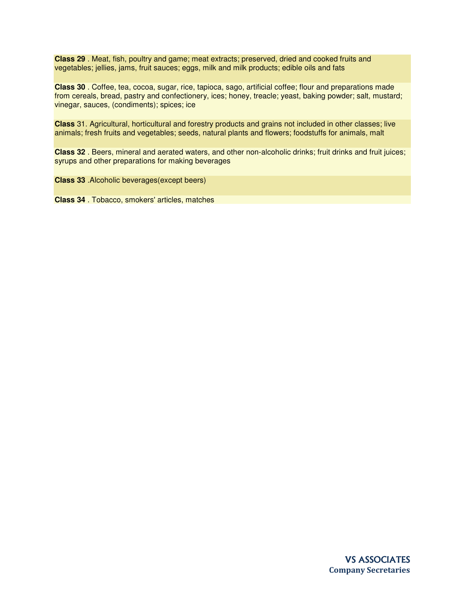**Class 29** . Meat, fish, poultry and game; meat extracts; preserved, dried and cooked fruits and vegetables; jellies, jams, fruit sauces; eggs, milk and milk products; edible oils and fats

**Class 30** . Coffee, tea, cocoa, sugar, rice, tapioca, sago, artificial coffee; flour and preparations made from cereals, bread, pastry and confectionery, ices; honey, treacle; yeast, baking powder; salt, mustard; vinegar, sauces, (condiments); spices; ice

**Class** 31. Agricultural, horticultural and forestry products and grains not included in other classes; live animals; fresh fruits and vegetables; seeds, natural plants and flowers; foodstuffs for animals, malt

**Class 32** . Beers, mineral and aerated waters, and other non-alcoholic drinks; fruit drinks and fruit juices; syrups and other preparations for making beverages

**Class 33** .Alcoholic beverages(except beers)

**Class 34** . Tobacco, smokers' articles, matches